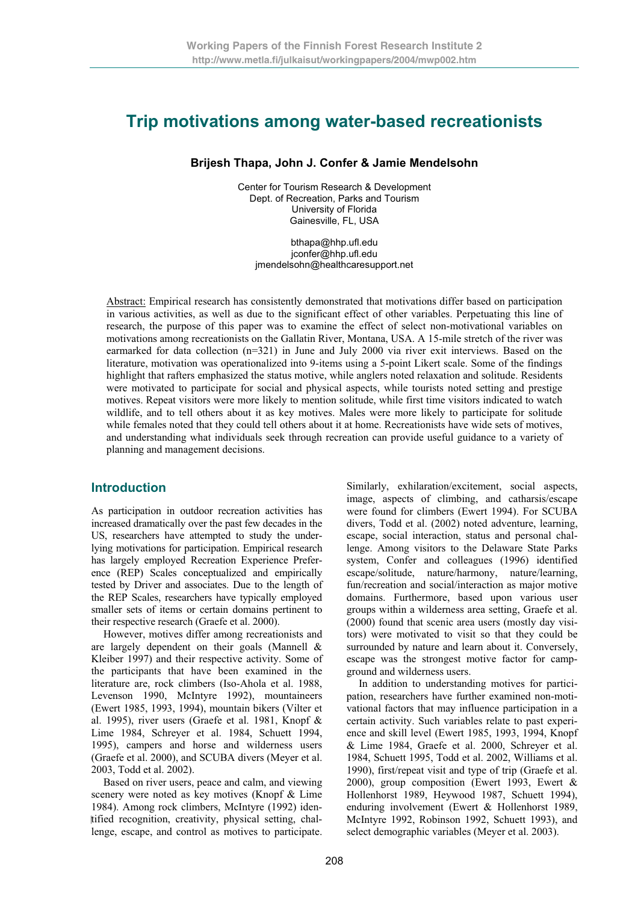# **Trip motivations among water-based recreationists**

### **Brijesh Thapa, John J. Confer & Jamie Mendelsohn**

Center for Tourism Research & Development Dept. of Recreation, Parks and Tourism University of Florida Gainesville, FL, USA

bthapa@hhp.ufl.edu jconfer@hhp.ufl.edu jmendelsohn@healthcaresupport.net

Abstract: Empirical research has consistently demonstrated that motivations differ based on participation in various activities, as well as due to the significant effect of other variables. Perpetuating this line of research, the purpose of this paper was to examine the effect of select non-motivational variables on motivations among recreationists on the Gallatin River, Montana, USA. A 15-mile stretch of the river was earmarked for data collection (n=321) in June and July 2000 via river exit interviews. Based on the literature, motivation was operationalized into 9-items using a 5-point Likert scale. Some of the findings highlight that rafters emphasized the status motive, while anglers noted relaxation and solitude. Residents were motivated to participate for social and physical aspects, while tourists noted setting and prestige motives. Repeat visitors were more likely to mention solitude, while first time visitors indicated to watch wildlife, and to tell others about it as key motives. Males were more likely to participate for solitude while females noted that they could tell others about it at home. Recreationists have wide sets of motives, and understanding what individuals seek through recreation can provide useful guidance to a variety of planning and management decisions.

### **Introduction**

As participation in outdoor recreation activities has increased dramatically over the past few decades in the US, researchers have attempted to study the underlying motivations for participation. Empirical research has largely employed Recreation Experience Preference (REP) Scales conceptualized and empirically tested by Driver and associates. Due to the length of the REP Scales, researchers have typically employed smaller sets of items or certain domains pertinent to their respective research (Graefe et al. 2000).

However, motives differ among recreationists and are largely dependent on their goals (Mannell & Kleiber 1997) and their respective activity. Some of the participants that have been examined in the literature are, rock climbers (Iso-Ahola et al. 1988, Levenson 1990, McIntyre 1992), mountaineers (Ewert 1985, 1993, 1994), mountain bikers (Vilter et al. 1995), river users (Graefe et al. 1981, Knopf & Lime 1984, Schreyer et al. 1984, Schuett 1994, 1995), campers and horse and wilderness users (Graefe et al. 2000), and SCUBA divers (Meyer et al. 2003, Todd et al. 2002).

Based on river users, peace and calm, and viewing scenery were noted as key motives (Knopf & Lime 1984). Among rock climbers, McIntyre (1992) iden tified recognition, creativity, physical setting, challenge, escape, and control as motives to participate. Similarly, exhilaration/excitement, social aspects, image, aspects of climbing, and catharsis/escape were found for climbers (Ewert 1994). For SCUBA divers, Todd et al. (2002) noted adventure, learning, escape, social interaction, status and personal challenge. Among visitors to the Delaware State Parks system, Confer and colleagues (1996) identified escape/solitude, nature/harmony, nature/learning, fun/recreation and social/interaction as major motive domains. Furthermore, based upon various user groups within a wilderness area setting, Graefe et al. (2000) found that scenic area users (mostly day visitors) were motivated to visit so that they could be surrounded by nature and learn about it. Conversely, escape was the strongest motive factor for campground and wilderness users.

In addition to understanding motives for participation, researchers have further examined non-motivational factors that may influence participation in a certain activity. Such variables relate to past experience and skill level (Ewert 1985, 1993, 1994, Knopf & Lime 1984, Graefe et al. 2000, Schreyer et al. 1984, Schuett 1995, Todd et al. 2002, Williams et al. 1990), first/repeat visit and type of trip (Graefe et al. 2000), group composition (Ewert 1993, Ewert & Hollenhorst 1989, Heywood 1987, Schuett 1994), enduring involvement (Ewert & Hollenhorst 1989, McIntyre 1992, Robinson 1992, Schuett 1993), and select demographic variables (Meyer et al. 2003).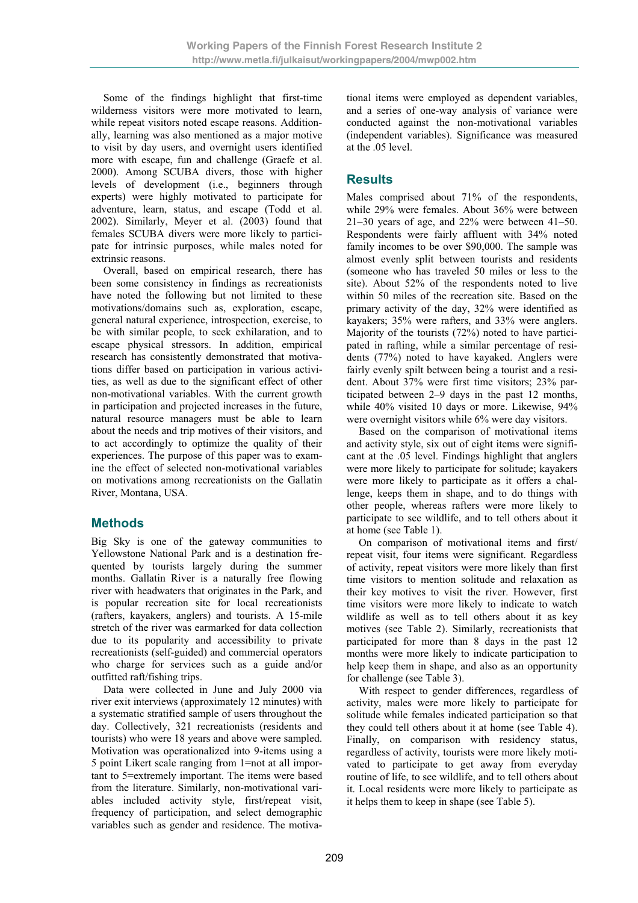Some of the findings highlight that first-time wilderness visitors were more motivated to learn, while repeat visitors noted escape reasons. Additionally, learning was also mentioned as a major motive to visit by day users, and overnight users identified more with escape, fun and challenge (Graefe et al. 2000). Among SCUBA divers, those with higher levels of development (i.e., beginners through experts) were highly motivated to participate for adventure, learn, status, and escape (Todd et al. 2002). Similarly, Meyer et al. (2003) found that females SCUBA divers were more likely to participate for intrinsic purposes, while males noted for extrinsic reasons.

Overall, based on empirical research, there has been some consistency in findings as recreationists have noted the following but not limited to these motivations/domains such as, exploration, escape, general natural experience, introspection, exercise, to be with similar people, to seek exhilaration, and to escape physical stressors. In addition, empirical research has consistently demonstrated that motivations differ based on participation in various activities, as well as due to the significant effect of other non-motivational variables. With the current growth in participation and projected increases in the future, natural resource managers must be able to learn about the needs and trip motives of their visitors, and to act accordingly to optimize the quality of their experiences. The purpose of this paper was to examine the effect of selected non-motivational variables on motivations among recreationists on the Gallatin River, Montana, USA.

### **Methods**

Big Sky is one of the gateway communities to Yellowstone National Park and is a destination frequented by tourists largely during the summer months. Gallatin River is a naturally free flowing river with headwaters that originates in the Park, and is popular recreation site for local recreationists (rafters, kayakers, anglers) and tourists. A 15-mile stretch of the river was earmarked for data collection due to its popularity and accessibility to private recreationists (self-guided) and commercial operators who charge for services such as a guide and/or outfitted raft/fishing trips.

Data were collected in June and July 2000 via river exit interviews (approximately 12 minutes) with a systematic stratified sample of users throughout the day. Collectively, 321 recreationists (residents and tourists) who were 18 years and above were sampled. Motivation was operationalized into 9-items using a 5 point Likert scale ranging from 1=not at all important to 5=extremely important. The items were based from the literature. Similarly, non-motivational variables included activity style, first/repeat visit, frequency of participation, and select demographic variables such as gender and residence. The motivational items were employed as dependent variables, and a series of one-way analysis of variance were conducted against the non-motivational variables (independent variables). Significance was measured at the .05 level.

### **Results**

Males comprised about 71% of the respondents, while 29% were females. About 36% were between 21–30 years of age, and 22% were between 41–50. Respondents were fairly affluent with 34% noted family incomes to be over \$90,000. The sample was almost evenly split between tourists and residents (someone who has traveled 50 miles or less to the site). About 52% of the respondents noted to live within 50 miles of the recreation site. Based on the primary activity of the day, 32% were identified as kayakers; 35% were rafters, and 33% were anglers. Majority of the tourists (72%) noted to have participated in rafting, while a similar percentage of residents (77%) noted to have kayaked. Anglers were fairly evenly spilt between being a tourist and a resident. About 37% were first time visitors; 23% participated between 2–9 days in the past 12 months, while 40% visited 10 days or more. Likewise, 94% were overnight visitors while 6% were day visitors.

Based on the comparison of motivational items and activity style, six out of eight items were significant at the .05 level. Findings highlight that anglers were more likely to participate for solitude; kayakers were more likely to participate as it offers a challenge, keeps them in shape, and to do things with other people, whereas rafters were more likely to participate to see wildlife, and to tell others about it at home (see Table 1).

On comparison of motivational items and first/ repeat visit, four items were significant. Regardless of activity, repeat visitors were more likely than first time visitors to mention solitude and relaxation as their key motives to visit the river. However, first time visitors were more likely to indicate to watch wildlife as well as to tell others about it as key motives (see Table 2). Similarly, recreationists that participated for more than 8 days in the past 12 months were more likely to indicate participation to help keep them in shape, and also as an opportunity for challenge (see Table 3).

With respect to gender differences, regardless of activity, males were more likely to participate for solitude while females indicated participation so that they could tell others about it at home (see Table 4). Finally, on comparison with residency status, regardless of activity, tourists were more likely motivated to participate to get away from everyday routine of life, to see wildlife, and to tell others about it. Local residents were more likely to participate as it helps them to keep in shape (see Table 5).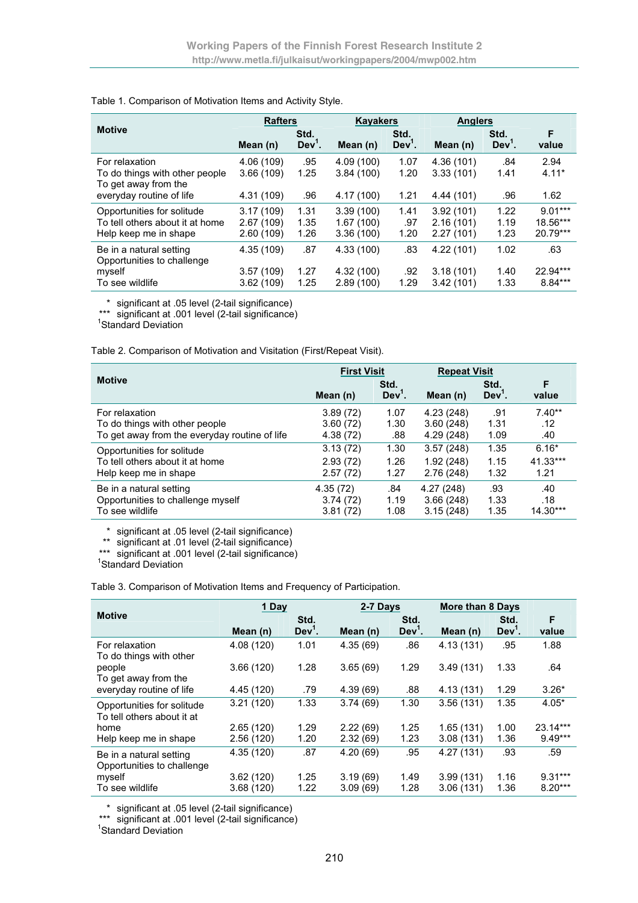### Table 1. Comparison of Motivation Items and Activity Style.

|                                                                          | <b>Rafters</b>          |               | <b>Kayakers</b>         |               | <b>Anglers</b>         |                  |                 |
|--------------------------------------------------------------------------|-------------------------|---------------|-------------------------|---------------|------------------------|------------------|-----------------|
| <b>Motive</b>                                                            | Mean (n)                | Std.<br>Dev'. | Mean (n)                | Std.<br>Dev'. | Mean (n)               | Std.<br>$Dev1$ . | F<br>value      |
| For relaxation<br>To do things with other people<br>To get away from the | 4.06 (109)<br>3.66(109) | .95<br>1.25   | 4.09 (100)<br>3.84(100) | 1.07<br>1.20  | 4.36(101)<br>3.33(101) | .84<br>1.41      | 2.94<br>$4.11*$ |
| everyday routine of life                                                 | 4.31 (109)              | .96           | 4.17 (100)              | 1.21          | 4.44 (101)             | .96              | 1.62            |
| Opportunities for solitude                                               | 3.17(109)               | 1.31          | 3.39(100)               | 1.41          | 3.92(101)              | 1.22             | $9.01***$       |
| To tell others about it at home                                          | 2.67(109)               | 1.35          | 1.67(100)               | .97           | 2.16(101)              | 1.19             | 18.56***        |
| Help keep me in shape                                                    | 2.60(109)               | 1.26          | 3.36(100)               | 1.20          | 2.27(101)              | 1.23             | 20.79***        |
| Be in a natural setting<br>Opportunities to challenge                    | 4.35 (109)              | .87           | 4.33 (100)              | .83           | 4.22(101)              | 1.02             | .63             |
| myself                                                                   | 3.57(109)               | 1.27          | 4.32 (100)              | .92           | 3.18(101)              | 1.40             | 22.94***        |
| To see wildlife                                                          | 3.62(109)               | 1.25          | 2.89(100)               | 1.29          | 3.42(101)              | 1.33             | 8.84***         |

\* significant at .05 level (2-tail significance)

\*\*\* significant at .001 level (2-tail significance)

<sup>1</sup>Standard Deviation

Table 2. Comparison of Motivation and Visitation (First/Repeat Visit).

|                                               | <b>First Visit</b> |               | <b>Repeat Visit</b> |               |            |
|-----------------------------------------------|--------------------|---------------|---------------------|---------------|------------|
| <b>Motive</b>                                 | Mean (n)           | Std.<br>Dev'. | Mean $(n)$          | Std.<br>Dev'. | F<br>value |
| For relaxation                                | 3.89(72)           | 1.07          | 4.23 (248)          | .91           | $7.40**$   |
| To do things with other people                | 3.60(72)           | 1.30          | 3.60(248)           | 1.31          | .12        |
| To get away from the everyday routine of life | 4.38 (72)          | .88           | 4.29 (248)          | 1.09          | .40        |
| Opportunities for solitude                    | 3.13(72)           | 1.30          | 3.57(248)           | 1.35          | $6.16*$    |
| To tell others about it at home               | 2.93(72)           | 1.26          | 1.92(248)           | 1.15          | 41.33***   |
| Help keep me in shape                         | 2.57(72)           | 1.27          | 2.76(248)           | 1.32          | 1.21       |
| Be in a natural setting                       | 4.35(72)           | .84           | 4.27(248)           | .93           | .40        |
| Opportunities to challenge myself             | 3.74(72)           | 1.19          | 3.66(248)           | 1.33          | .18        |
| To see wildlife                               | 3.81(72)           | 1.08          | 3.15(248)           | 1.35          | $14.30***$ |

\* significant at .05 level (2-tail significance)

\*\* significant at .01 level (2-tail significance)

\*\*\* significant at .001 level (2-tail significance)

<sup>1</sup>Standard Deviation

Table 3. Comparison of Motivation Items and Frequency of Participation.

|                                                          | 1 Day      |                  | 2-7 Days |                  | <b>More than 8 Days</b> |                  |            |
|----------------------------------------------------------|------------|------------------|----------|------------------|-------------------------|------------------|------------|
| <b>Motive</b>                                            | Mean (n)   | Std.<br>$Dev1$ . | Mean (n) | Std.<br>$Dev1$ . | Mean (n)                | Std.<br>$Dev1$ . | F<br>value |
| For relaxation<br>To do things with other                | 4.08 (120) | 1.01             | 4.35(69) | .86              | 4.13(131)               | .95              | 1.88       |
| people<br>To get away from the                           | 3.66(120)  | 1.28             | 3.65(69) | 1.29             | 3.49(131)               | 1.33             | .64        |
| everyday routine of life                                 | 4.45 (120) | .79              | 4.39(69) | .88              | 4.13(131)               | 1.29             | $3.26*$    |
| Opportunities for solitude<br>To tell others about it at | 3.21(120)  | 1.33             | 3.74(69) | 1.30             | 3.56(131)               | 1.35             | $4.05*$    |
| home                                                     | 2.65(120)  | 1.29             | 2.22(69) | 1.25             | 1.65(131)               | 1.00             | 23.14***   |
| Help keep me in shape                                    | 2.56(120)  | 1.20             | 2.32(69) | 1.23             | 3.08(131)               | 1.36             | $9.49***$  |
| Be in a natural setting<br>Opportunities to challenge    | 4.35 (120) | .87              | 4.20(69) | .95              | 4.27 (131)              | .93              | .59        |
| myself                                                   | 3.62(120)  | 1.25             | 3.19(69) | 1.49             | 3.99(131)               | 1.16             | $9.31***$  |
| To see wildlife                                          | 3.68(120)  | 1.22             | 3.09(69) | 1.28             | 3.06(131)               | 1.36             | $8.20***$  |

\* significant at .05 level (2-tail significance)

\*\*\* significant at .001 level (2-tail significance)

<sup>1</sup>Standard Deviation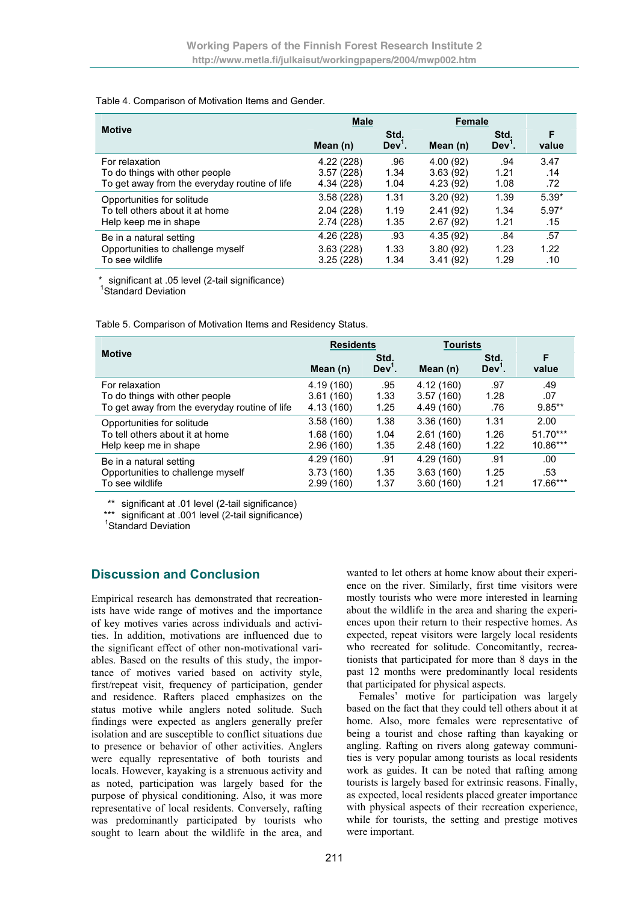### Table 4. Comparison of Motivation Items and Gender.

|                                               | <b>Male</b> |               | <b>Female</b> |               |            |
|-----------------------------------------------|-------------|---------------|---------------|---------------|------------|
| <b>Motive</b>                                 | Mean (n)    | Std.<br>Dev'. | Mean (n)      | Std.<br>Dev'. | F<br>value |
| For relaxation                                | 4.22(228)   | .96           | 4.00(92)      | .94           | 3.47       |
| To do things with other people                | 3.57(228)   | 1.34          | 3.63(92)      | 1.21          | .14        |
| To get away from the everyday routine of life | 4.34 (228)  | 1.04          | 4.23(92)      | 1.08          | .72        |
| Opportunities for solitude                    | 3.58(228)   | 1.31          | 3.20(92)      | 1.39          | $5.39*$    |
| To tell others about it at home               | 2.04(228)   | 1.19          | 2.41(92)      | 1.34          | $5.97*$    |
| Help keep me in shape                         | 2.74(228)   | 1.35          | 2.67(92)      | 1.21          | .15        |
| Be in a natural setting                       | 4.26 (228)  | .93           | 4.35(92)      | .84           | .57        |
| Opportunities to challenge myself             | 3.63(228)   | 1.33          | 3.80(92)      | 1.23          | 1.22       |
| To see wildlife                               | 3.25(228)   | 1.34          | 3.41(92)      | 1.29          | .10        |

\* significant at .05 level (2-tail significance)

<sup>1</sup>Standard Deviation

Table 5. Comparison of Motivation Items and Residency Status.

|                                               | <b>Residents</b> |               | <b>Tourists</b> |               |            |
|-----------------------------------------------|------------------|---------------|-----------------|---------------|------------|
| <b>Motive</b>                                 | Mean (n)         | Std.<br>Dev'. | Mean (n)        | Std.<br>Dev'. | F<br>value |
| For relaxation                                | 4.19 (160)       | .95           | 4.12 (160)      | .97           | .49        |
| To do things with other people                | 3.61(160)        | 1.33          | 3.57(160)       | 1.28          | .07        |
| To get away from the everyday routine of life | 4.13 (160)       | 1.25          | 4.49 (160)      | .76           | $9.85**$   |
| Opportunities for solitude                    | 3.58(160)        | 1.38          | 3.36(160)       | 1.31          | 2.00       |
| To tell others about it at home               | 1.68(160)        | 1.04          | 2.61(160)       | 1.26          | $51.70***$ |
| Help keep me in shape                         | 2.96(160)        | 1.35          | 2.48(160)       | 1.22          | 10.86***   |
| Be in a natural setting                       | 4.29 (160)       | .91           | 4.29 (160)      | .91           | .00        |
| Opportunities to challenge myself             | 3.73(160)        | 1.35          | 3.63(160)       | 1.25          | .53        |
| To see wildlife                               | 2.99(160)        | 1.37          | 3.60(160)       | 1.21          | 17.66***   |

\*\* significant at .01 level (2-tail significance)

\*\*\* significant at .001 level (2-tail significance)

<sup>1</sup>Standard Deviation

## **Discussion and Conclusion**

Empirical research has demonstrated that recreationists have wide range of motives and the importance of key motives varies across individuals and activities. In addition, motivations are influenced due to the significant effect of other non-motivational variables. Based on the results of this study, the importance of motives varied based on activity style, first/repeat visit, frequency of participation, gender and residence. Rafters placed emphasizes on the status motive while anglers noted solitude. Such findings were expected as anglers generally prefer isolation and are susceptible to conflict situations due to presence or behavior of other activities. Anglers were equally representative of both tourists and locals. However, kayaking is a strenuous activity and as noted, participation was largely based for the purpose of physical conditioning. Also, it was more representative of local residents. Conversely, rafting was predominantly participated by tourists who sought to learn about the wildlife in the area, and wanted to let others at home know about their experience on the river. Similarly, first time visitors were mostly tourists who were more interested in learning about the wildlife in the area and sharing the experiences upon their return to their respective homes. As expected, repeat visitors were largely local residents who recreated for solitude. Concomitantly, recreationists that participated for more than 8 days in the past 12 months were predominantly local residents that participated for physical aspects.

Females' motive for participation was largely based on the fact that they could tell others about it at home. Also, more females were representative of being a tourist and chose rafting than kayaking or angling. Rafting on rivers along gateway communities is very popular among tourists as local residents work as guides. It can be noted that rafting among tourists is largely based for extrinsic reasons. Finally, as expected, local residents placed greater importance with physical aspects of their recreation experience, while for tourists, the setting and prestige motives were important.